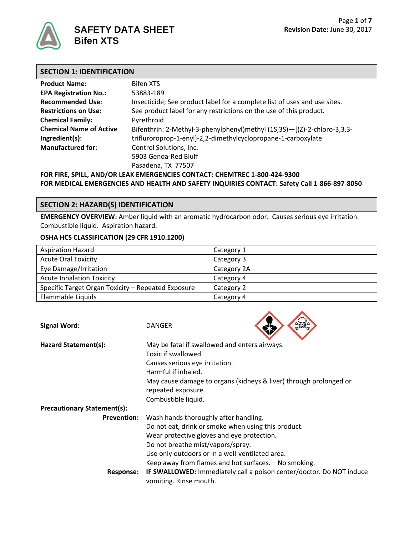

# **SECTION 1: IDENTIFICATION**

| <b>Product Name:</b>                                                      | <b>Bifen XTS</b>                                                          |  |  |  |
|---------------------------------------------------------------------------|---------------------------------------------------------------------------|--|--|--|
| <b>EPA Registration No.:</b>                                              | 53883-189                                                                 |  |  |  |
| <b>Recommended Use:</b>                                                   | Insecticide; See product label for a complete list of uses and use sites. |  |  |  |
| <b>Restrictions on Use:</b>                                               | See product label for any restrictions on the use of this product.        |  |  |  |
| <b>Chemical Family:</b>                                                   | Pyrethroid                                                                |  |  |  |
| <b>Chemical Name of Active</b>                                            | Bifenthrin: 2-Methyl-3-phenylphenyl)methyl (1S,3S)-[(Z)-2-chloro-3,3,3-   |  |  |  |
| Ingredient(s):                                                            | trifluroroprop-1-enyl]-2,2-dimethylcyclopropane-1-carboxylate             |  |  |  |
| <b>Manufactured for:</b>                                                  | Control Solutions, Inc.                                                   |  |  |  |
| 5903 Genoa-Red Bluff                                                      |                                                                           |  |  |  |
| Pasadena, TX 77507                                                        |                                                                           |  |  |  |
| FOR FIRE, SPILL, AND/OR LEAK EMERGENCIES CONTACT: CHEMTREC 1-800-424-9300 |                                                                           |  |  |  |

**FOR MEDICAL EMERGENCIES AND HEALTH AND SAFETY INQUIRIES CONTACT: Safety Call 1-866-897-8050**

## **SECTION 2: HAZARD(S) IDENTIFICATION**

**EMERGENCY OVERVIEW:** Amber liquid with an aromatic hydrocarbon odor. Causes serious eye irritation. Combustible liquid. Aspiration hazard.

### **OSHA HCS CLASSIFICATION (29 CFR 1910.1200)**

| <b>Aspiration Hazard</b>                           | Category 1  |
|----------------------------------------------------|-------------|
| <b>Acute Oral Toxicity</b>                         | Category 3  |
| Eye Damage/Irritation                              | Category 2A |
| <b>Acute Inhalation Toxicity</b>                   | Category 4  |
| Specific Target Organ Toxicity - Repeated Exposure | Category 2  |
| Flammable Liquids                                  | Category 4  |

 $\wedge$   $\wedge$ 

| <b>Signal Word:</b>                | <b>DANGER</b>                                                                                  |
|------------------------------------|------------------------------------------------------------------------------------------------|
| Hazard Statement(s):               | May be fatal if swallowed and enters airways.                                                  |
|                                    | Toxic if swallowed.                                                                            |
|                                    | Causes serious eye irritation.                                                                 |
|                                    | Harmful if inhaled.                                                                            |
|                                    | May cause damage to organs (kidneys & liver) through prolonged or                              |
|                                    | repeated exposure.                                                                             |
|                                    | Combustible liquid.                                                                            |
| <b>Precautionary Statement(s):</b> |                                                                                                |
| <b>Prevention:</b>                 | Wash hands thoroughly after handling.                                                          |
|                                    | Do not eat, drink or smoke when using this product.                                            |
|                                    | Wear protective gloves and eye protection.                                                     |
|                                    | Do not breathe mist/vapors/spray.                                                              |
|                                    | Use only outdoors or in a well-ventilated area.                                                |
|                                    | Keep away from flames and hot surfaces. - No smoking.                                          |
| Response:                          | IF SWALLOWED: Immediately call a poison center/doctor. Do NOT induce<br>vomiting. Rinse mouth. |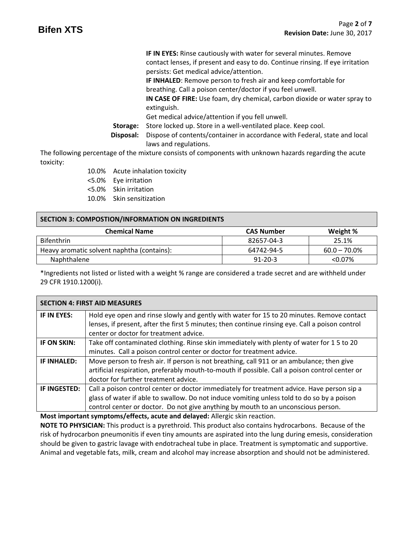**IF IN EYES:** Rinse cautiously with water for several minutes. Remove contact lenses, if present and easy to do. Continue rinsing. If eye irritation persists: Get medical advice/attention.

**IF INHALED**: Remove person to fresh air and keep comfortable for breathing. Call a poison center/doctor if you feel unwell.

**IN CASE OF FIRE:** Use foam, dry chemical, carbon dioxide or water spray to extinguish.

Get medical advice/attention if you fell unwell.

- **Storage:** Store locked up. Store in a well-ventilated place. Keep cool.
- **Disposal:** Dispose of contents/container in accordance with Federal, state and local laws and regulations.

The following percentage of the mixture consists of components with unknown hazards regarding the acute toxicity:

- 10.0% Acute inhalation toxicity
- <5.0% Eye irritation
- <5.0% Skin irritation
- 10.0% Skin sensitization

## **SECTION 3: COMPOSTION/INFORMATION ON INGREDIENTS**

| <b>Chemical Name</b>                       | <b>CAS Number</b> | Weight %        |
|--------------------------------------------|-------------------|-----------------|
| <b>Bifenthrin</b>                          | 82657-04-3        | 25.1%           |
| Heavy aromatic solvent naphtha (contains): | 64742-94-5        | $60.0 - 70.0\%$ |
| Naphthalene                                | $91 - 20 - 3$     | $< 0.07\%$      |

\*Ingredients not listed or listed with a weight % range are considered a trade secret and are withheld under 29 CFR 1910.1200(i).

| <b>SECTION 4: FIRST AID MEASURES</b> |                                                                                                 |  |  |
|--------------------------------------|-------------------------------------------------------------------------------------------------|--|--|
| IF IN EYES:                          | Hold eye open and rinse slowly and gently with water for 15 to 20 minutes. Remove contact       |  |  |
|                                      | lenses, if present, after the first 5 minutes; then continue rinsing eye. Call a poison control |  |  |
|                                      | center or doctor for treatment advice.                                                          |  |  |
| IF ON SKIN:                          | Take off contaminated clothing. Rinse skin immediately with plenty of water for 15 to 20        |  |  |
|                                      | minutes. Call a poison control center or doctor for treatment advice.                           |  |  |
| <b>IF INHALED:</b>                   | Move person to fresh air. If person is not breathing, call 911 or an ambulance; then give       |  |  |
|                                      | artificial respiration, preferably mouth-to-mouth if possible. Call a poison control center or  |  |  |
|                                      | doctor for further treatment advice.                                                            |  |  |
| IF INGESTED:                         | Call a poison control center or doctor immediately for treatment advice. Have person sip a      |  |  |
|                                      | glass of water if able to swallow. Do not induce vomiting unless told to do so by a poison      |  |  |
|                                      | control center or doctor. Do not give anything by mouth to an unconscious person.               |  |  |
|                                      |                                                                                                 |  |  |

**Most important symptoms/effects, acute and delayed:** Allergic skin reaction.

**NOTE TO PHYSICIAN:** This product is a pyrethroid. This product also contains hydrocarbons. Because of the risk of hydrocarbon pneumonitis if even tiny amounts are aspirated into the lung during emesis, consideration should be given to gastric lavage with endotracheal tube in place. Treatment is symptomatic and supportive. Animal and vegetable fats, milk, cream and alcohol may increase absorption and should not be administered.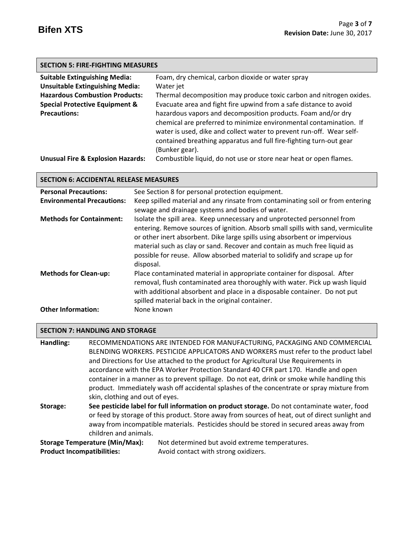| <b>SECTION 5: FIRE-FIGHTING MEASURES</b>  |                                                                      |  |  |  |
|-------------------------------------------|----------------------------------------------------------------------|--|--|--|
| <b>Suitable Extinguishing Media:</b>      | Foam, dry chemical, carbon dioxide or water spray                    |  |  |  |
| <b>Unsuitable Extinguishing Media:</b>    | Water jet                                                            |  |  |  |
| <b>Hazardous Combustion Products:</b>     | Thermal decomposition may produce toxic carbon and nitrogen oxides.  |  |  |  |
| <b>Special Protective Equipment &amp;</b> | Evacuate area and fight fire upwind from a safe distance to avoid    |  |  |  |
| <b>Precautions:</b>                       | hazardous vapors and decomposition products. Foam and/or dry         |  |  |  |
|                                           | chemical are preferred to minimize environmental contamination. If   |  |  |  |
|                                           | water is used, dike and collect water to prevent run-off. Wear self- |  |  |  |
|                                           | contained breathing apparatus and full fire-fighting turn-out gear   |  |  |  |
|                                           | (Bunker gear).                                                       |  |  |  |

**Unusual Fire & Explosion Hazards:** Combustible liquid, do not use or store near heat or open flames.

### **SECTION 6: ACCIDENTAL RELEASE MEASURES**

| <b>Personal Precautions:</b>      | See Section 8 for personal protection equipment.                                                                                                                                                                                                                                                                                                                                                                |
|-----------------------------------|-----------------------------------------------------------------------------------------------------------------------------------------------------------------------------------------------------------------------------------------------------------------------------------------------------------------------------------------------------------------------------------------------------------------|
| <b>Environmental Precautions:</b> | Keep spilled material and any rinsate from contaminating soil or from entering                                                                                                                                                                                                                                                                                                                                  |
|                                   | sewage and drainage systems and bodies of water.                                                                                                                                                                                                                                                                                                                                                                |
| <b>Methods for Containment:</b>   | Isolate the spill area. Keep unnecessary and unprotected personnel from<br>entering. Remove sources of ignition. Absorb small spills with sand, vermiculite<br>or other inert absorbent. Dike large spills using absorbent or impervious<br>material such as clay or sand. Recover and contain as much free liquid as<br>possible for reuse. Allow absorbed material to solidify and scrape up for<br>disposal. |
| <b>Methods for Clean-up:</b>      | Place contaminated material in appropriate container for disposal. After<br>removal, flush contaminated area thoroughly with water. Pick up wash liquid<br>with additional absorbent and place in a disposable container. Do not put<br>spilled material back in the original container.                                                                                                                        |
| <b>Other Information:</b>         | None known                                                                                                                                                                                                                                                                                                                                                                                                      |

## **SECTION 7: HANDLING AND STORAGE**

**Handling:** RECOMMENDATIONS ARE INTENDED FOR MANUFACTURING, PACKAGING AND COMMERCIAL BLENDING WORKERS. PESTICIDE APPLICATORS AND WORKERS must refer to the product label and Directions for Use attached to the product for Agricultural Use Requirements in accordance with the EPA Worker Protection Standard 40 CFR part 170.Handle and open container in a manner as to prevent spillage. Do not eat, drink or smoke while handling this product. Immediately wash off accidental splashes of the concentrate or spray mixture from skin, clothing and out of eyes.

**Storage: See pesticide label for full information on product storage.** Do not contaminate water, food or feed by storage of this product. Store away from sources of heat, out of direct sunlight and away from incompatible materials. Pesticides should be stored in secured areas away from children and animals.

**Storage Temperature (Min/Max):** Not determined but avoid extreme temperatures. **Product Incompatibilities:** Avoid contact with strong oxidizers.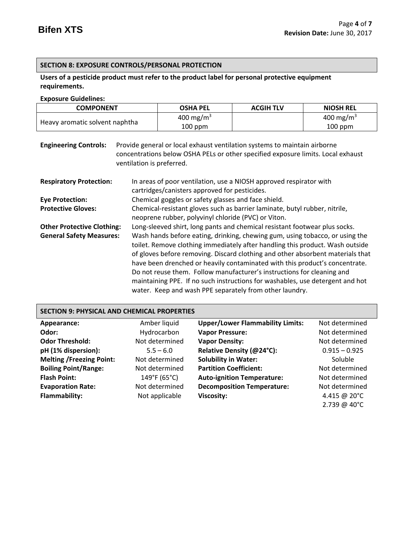# **SECTION 8: EXPOSURE CONTROLS/PERSONAL PROTECTION**

## **Users of a pesticide product must refer to the product label for personal protective equipment requirements.**

### **Exposure Guidelines:**

| <b>COMPONENT</b>               | <b>OSHA PEL</b>       | <b>ACGIH TLV</b> | <b>NIOSH REL</b>      |
|--------------------------------|-----------------------|------------------|-----------------------|
|                                | 400 mg/m <sup>3</sup> |                  | 400 mg/m <sup>3</sup> |
| Heavy aromatic solvent naphtha | $100$ ppm             |                  | $100$ ppm             |

| <b>Engineering Controls:</b>      | Provide general or local exhaust ventilation systems to maintain airborne<br>concentrations below OSHA PELs or other specified exposure limits. Local exhaust<br>ventilation is preferred.                                                                                                                                                                                                                                                                                                                                                           |  |  |
|-----------------------------------|------------------------------------------------------------------------------------------------------------------------------------------------------------------------------------------------------------------------------------------------------------------------------------------------------------------------------------------------------------------------------------------------------------------------------------------------------------------------------------------------------------------------------------------------------|--|--|
| <b>Respiratory Protection:</b>    | In areas of poor ventilation, use a NIOSH approved respirator with<br>cartridges/canisters approved for pesticides.                                                                                                                                                                                                                                                                                                                                                                                                                                  |  |  |
| <b>Eye Protection:</b>            | Chemical goggles or safety glasses and face shield.                                                                                                                                                                                                                                                                                                                                                                                                                                                                                                  |  |  |
| <b>Protective Gloves:</b>         | Chemical-resistant gloves such as barrier laminate, butyl rubber, nitrile,<br>neoprene rubber, polyvinyl chloride (PVC) or Viton.                                                                                                                                                                                                                                                                                                                                                                                                                    |  |  |
| <b>Other Protective Clothing:</b> | Long-sleeved shirt, long pants and chemical resistant footwear plus socks.                                                                                                                                                                                                                                                                                                                                                                                                                                                                           |  |  |
| <b>General Safety Measures:</b>   | Wash hands before eating, drinking, chewing gum, using tobacco, or using the<br>toilet. Remove clothing immediately after handling this product. Wash outside<br>of gloves before removing. Discard clothing and other absorbent materials that<br>have been drenched or heavily contaminated with this product's concentrate.<br>Do not reuse them. Follow manufacturer's instructions for cleaning and<br>maintaining PPE. If no such instructions for washables, use detergent and hot<br>water. Keep and wash PPE separately from other laundry. |  |  |

# **SECTION 9: PHYSICAL AND CHEMICAL PROPERTIES**

| Appearance:                     | Amber liquid   | <b>Upper/Lower Flammability Limits:</b> | Not determined  |
|---------------------------------|----------------|-----------------------------------------|-----------------|
| Odor:                           | Hydrocarbon    | <b>Vapor Pressure:</b>                  | Not determined  |
| <b>Odor Threshold:</b>          | Not determined | <b>Vapor Density:</b>                   | Not determined  |
| pH (1% dispersion):             | $5.5 - 6.0$    | Relative Density (@24°C):               | $0.915 - 0.925$ |
| <b>Melting /Freezing Point:</b> | Not determined | <b>Solubility in Water:</b>             | Soluble         |
| <b>Boiling Point/Range:</b>     | Not determined | <b>Partition Coefficient:</b>           | Not determined  |
| <b>Flash Point:</b>             | 149°F (65°C)   | <b>Auto-ignition Temperature:</b>       | Not determined  |
| <b>Evaporation Rate:</b>        | Not determined | <b>Decomposition Temperature:</b>       | Not determined  |
| <b>Flammability:</b>            | Not applicable | <b>Viscosity:</b>                       | 4.415 @ 20°C    |
|                                 |                |                                         | 2.739 @ 40°C    |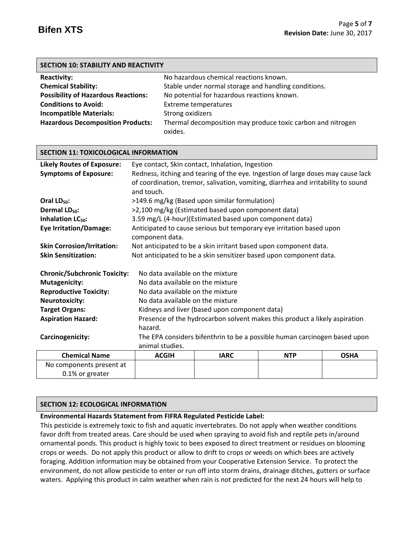| <b>SECTION 10: STABILITY AND REACTIVITY</b>                                                             |                                                      |  |  |  |  |
|---------------------------------------------------------------------------------------------------------|------------------------------------------------------|--|--|--|--|
| <b>Reactivity:</b>                                                                                      | No hazardous chemical reactions known.               |  |  |  |  |
| <b>Chemical Stability:</b>                                                                              | Stable under normal storage and handling conditions. |  |  |  |  |
| No potential for hazardous reactions known.<br><b>Possibility of Hazardous Reactions:</b>               |                                                      |  |  |  |  |
| <b>Conditions to Avoid:</b>                                                                             | <b>Extreme temperatures</b>                          |  |  |  |  |
| <b>Incompatible Materials:</b>                                                                          | Strong oxidizers                                     |  |  |  |  |
| <b>Hazardous Decomposition Products:</b><br>Thermal decomposition may produce toxic carbon and nitrogen |                                                      |  |  |  |  |
|                                                                                                         | oxides.                                              |  |  |  |  |

| <b>Likely Routes of Exposure:</b>   | Eye contact, Skin contact, Inhalation, Ingestion                                  |                                                                      |            |             |
|-------------------------------------|-----------------------------------------------------------------------------------|----------------------------------------------------------------------|------------|-------------|
| <b>Symptoms of Exposure:</b>        | Redness, itching and tearing of the eye. Ingestion of large doses may cause lack  |                                                                      |            |             |
|                                     | of coordination, tremor, salivation, vomiting, diarrhea and irritability to sound |                                                                      |            |             |
|                                     | and touch.                                                                        |                                                                      |            |             |
| Oral LD <sub>50</sub> :             |                                                                                   | >149.6 mg/kg (Based upon similar formulation)                        |            |             |
| Dermal LD <sub>50</sub> :           |                                                                                   | >2,100 mg/kg (Estimated based upon component data)                   |            |             |
| Inhalation LC <sub>50</sub> :       |                                                                                   | 3.59 mg/L (4-hour)(Estimated based upon component data)              |            |             |
| <b>Eye Irritation/Damage:</b>       |                                                                                   | Anticipated to cause serious but temporary eye irritation based upon |            |             |
|                                     | component data.                                                                   |                                                                      |            |             |
| <b>Skin Corrosion/Irritation:</b>   |                                                                                   | Not anticipated to be a skin irritant based upon component data.     |            |             |
| <b>Skin Sensitization:</b>          | Not anticipated to be a skin sensitizer based upon component data.                |                                                                      |            |             |
|                                     |                                                                                   |                                                                      |            |             |
| <b>Chronic/Subchronic Toxicity:</b> | No data available on the mixture                                                  |                                                                      |            |             |
| <b>Mutagenicity:</b>                | No data available on the mixture                                                  |                                                                      |            |             |
| <b>Reproductive Toxicity:</b>       | No data available on the mixture                                                  |                                                                      |            |             |
| <b>Neurotoxicity:</b>               | No data available on the mixture                                                  |                                                                      |            |             |
| <b>Target Organs:</b>               | Kidneys and liver (based upon component data)                                     |                                                                      |            |             |
| <b>Aspiration Hazard:</b>           | Presence of the hydrocarbon solvent makes this product a likely aspiration        |                                                                      |            |             |
|                                     | hazard.                                                                           |                                                                      |            |             |
| Carcinogenicity:                    | The EPA considers bifenthrin to be a possible human carcinogen based upon         |                                                                      |            |             |
|                                     | animal studies.                                                                   |                                                                      |            |             |
| <b>Chemical Name</b>                | <b>ACGIH</b>                                                                      | <b>IARC</b>                                                          | <b>NTP</b> | <b>OSHA</b> |
| No components present at            |                                                                                   |                                                                      |            |             |
| 0.1% or greater                     |                                                                                   |                                                                      |            |             |

## **SECTION 12: ECOLOGICAL INFORMATION**

**SECTION 11: TOXICOLOGICAL INFORMATION**

## **Environmental Hazards Statement from FIFRA Regulated Pesticide Label:**

This pesticide is extremely toxic to fish and aquatic invertebrates. Do not apply when weather conditions favor drift from treated areas. Care should be used when spraying to avoid fish and reptile pets in/around ornamental ponds. This product is highly toxic to bees exposed to direct treatment or residues on blooming crops or weeds. Do not apply this product or allow to drift to crops or weeds on which bees are actively foraging. Addition information may be obtained from your Cooperative Extension Service. To protect the environment, do not allow pesticide to enter or run off into storm drains, drainage ditches, gutters or surface waters. Applying this product in calm weather when rain is not predicted for the next 24 hours will help to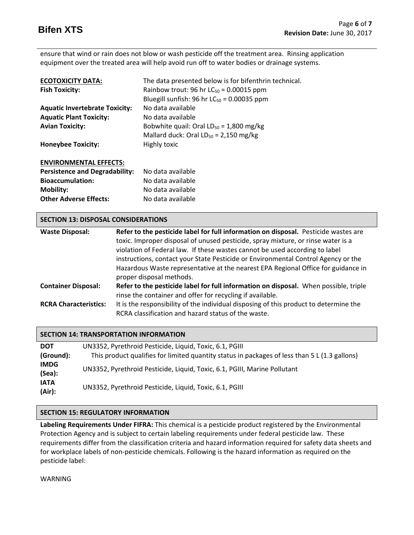ensure that wind or rain does not blow or wash pesticide off the treatment area. Rinsing application equipment over the treated area will help avoid run off to water bodies or drainage systems.

| <b>ECOTOXICITY DATA:</b>              | The data presented below is for bifenthrin technical. |
|---------------------------------------|-------------------------------------------------------|
| <b>Fish Toxicity:</b>                 | Rainbow trout: 96 hr $LC_{50}$ = 0.00015 ppm          |
|                                       | Bluegill sunfish: 96 hr $LC_{50}$ = 0.00035 ppm       |
| <b>Aquatic Invertebrate Toxicity:</b> | No data available                                     |
| <b>Aquatic Plant Toxicity:</b>        | No data available                                     |
| <b>Avian Toxicity:</b>                | Bobwhite quail: Oral $LD_{50} = 1,800$ mg/kg          |
|                                       | Mallard duck: Oral $LD_{50} = 2,150$ mg/kg            |
| <b>Honeybee Toxicity:</b>             | Highly toxic                                          |
|                                       |                                                       |
| <b>ENVIRONMENTAL EFFECTS:</b>         |                                                       |
| <b>Persistence and Degradability:</b> | No data available                                     |
| <b>Bioaccumulation:</b>               | No data available                                     |

| <b>SECTION 13: DISPOSAL CONSIDERATIONS</b> |                                                                                                                                                                                                                                                                                                                                                                                                                                                              |  |  |
|--------------------------------------------|--------------------------------------------------------------------------------------------------------------------------------------------------------------------------------------------------------------------------------------------------------------------------------------------------------------------------------------------------------------------------------------------------------------------------------------------------------------|--|--|
| <b>Waste Disposal:</b>                     | Refer to the pesticide label for full information on disposal. Pesticide wastes are<br>toxic. Improper disposal of unused pesticide, spray mixture, or rinse water is a<br>violation of Federal law. If these wastes cannot be used according to label<br>instructions, contact your State Pesticide or Environmental Control Agency or the<br>Hazardous Waste representative at the nearest EPA Regional Office for guidance in<br>proper disposal methods. |  |  |
| <b>Container Disposal:</b>                 | Refer to the pesticide label for full information on disposal. When possible, triple<br>rinse the container and offer for recycling if available.                                                                                                                                                                                                                                                                                                            |  |  |
| <b>RCRA Characteristics:</b>               | It is the responsibility of the individual disposing of this product to determine the<br>RCRA classification and hazard status of the waste.                                                                                                                                                                                                                                                                                                                 |  |  |

| <b>SECTION 14: TRANSPORTATION INFORMATION</b> |                                                                                               |  |  |
|-----------------------------------------------|-----------------------------------------------------------------------------------------------|--|--|
| <b>DOT</b>                                    | UN3352, Pyrethroid Pesticide, Liquid, Toxic, 6.1, PGIII                                       |  |  |
| (Ground):                                     | This product qualifies for limited quantity status in packages of less than 5 L (1.3 gallons) |  |  |
| <b>IMDG</b><br>(Sea):                         | UN3352, Pyrethroid Pesticide, Liquid, Toxic, 6.1, PGIII, Marine Pollutant                     |  |  |
| <b>IATA</b><br>(Air):                         | UN3352, Pyrethroid Pesticide, Liquid, Toxic, 6.1, PGIII                                       |  |  |

## **SECTION 15: REGULATORY INFORMATION**

**Mobility:** No data available **Other Adverse Effects:** No data available

**Labeling Requirements Under FIFRA:** This chemical is a pesticide product registered by the Environmental Protection Agency and is subject to certain labeling requirements under federal pesticide law. These requirements differ from the classification criteria and hazard information required for safety data sheets and for workplace labels of non-pesticide chemicals. Following is the hazard information as required on the pesticide label:

WARNING